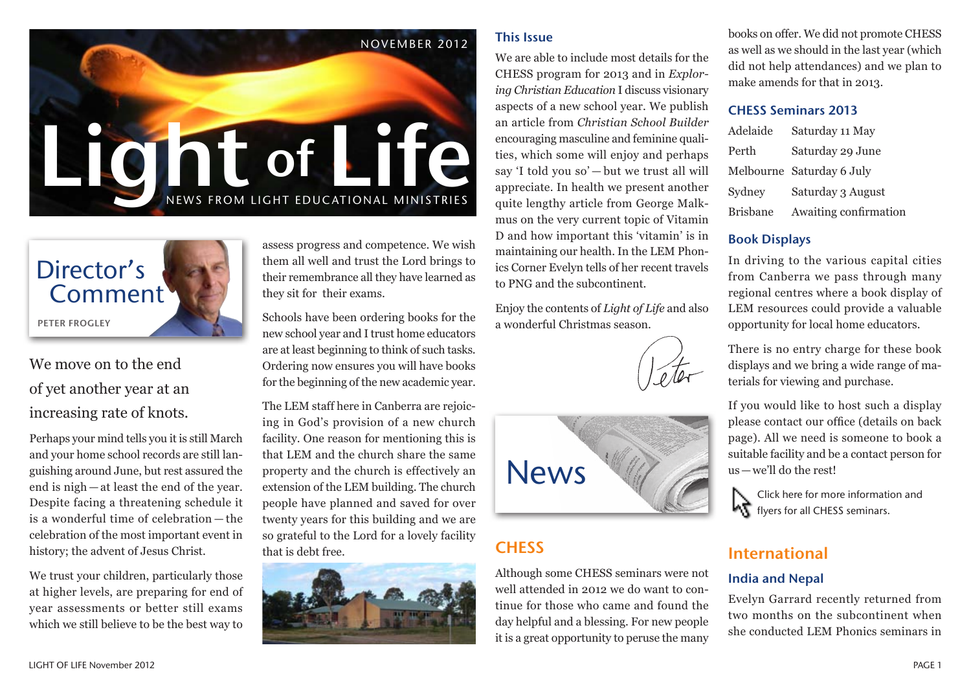



We move on to the end of yet another year at an increasing rate of knots.

Perhaps your mind tells you it is still March and your home school records are still languishing around June, but rest assured the end is nigh — at least the end of the year. Despite facing a threatening schedule it is a wonderful time of celebration — the celebration of the most important event in history; the advent of Jesus Christ.

We trust your children, particularly those at higher levels, are preparing for end of year assessments or better still exams which we still believe to be the best way to

assess progress and competence. We wish them all well and trust the Lord brings to their remembrance all they have learned as they sit for their exams.

Schools have been ordering books for the new school year and I trust home educators are at least beginning to think of such tasks. Ordering now ensures you will have books for the beginning of the new academic year.

The LEM staff here in Canberra are rejoicing in God's provision of a new church facility. One reason for mentioning this is that LEM and the church share the same property and the church is effectively an extension of the LEM building. The church people have planned and saved for over twenty years for this building and we are so grateful to the Lord for a lovely facility that is debt free.



#### This Issue

We are able to include most details for the CHESS program for 2013 and in *Exploring Christian Education* I discuss visionary aspects of a new school year. We publish an article from *Christian School Builder*  encouraging masculine and feminine qualities, which some will enjoy and perhaps say 'I told you so' — but we trust all will appreciate. In health we present another quite lengthy article from George Malkmus on the very current topic of Vitamin D and how important this 'vitamin' is in maintaining our health. In the LEM Phonics Corner Evelyn tells of her recent travels to PNG and the subcontinent.

Enjoy the contents of *Light of Life* and also a wonderful Christmas season.





## **CHESS**

Although some CHESS seminars were not well attended in 2012 we do want to continue for those who came and found the day helpful and a blessing. For new people it is a great opportunity to peruse the many

books on offer. We did not promote CHESS as well as we should in the last year (which did not help attendances) and we plan to make amends for that in 2013.

#### CHESS Seminars 2013

| Adelaide        | Saturday 11 May           |
|-----------------|---------------------------|
| Perth           | Saturday 29 June          |
|                 | Melbourne Saturday 6 July |
| Sydney          | Saturday 3 August         |
| <b>Brisbane</b> | Awaiting confirmation     |

#### Book Displays

In driving to the various capital cities from Canberra we pass through many regional centres where a book display of LEM resources could provide a valuable opportunity for local home educators.

There is no entry charge for these book displays and we bring a wide range of materials for viewing and purchase.

If you would like to host such a display please contact our office (details on back page). All we need is someone to book a suitable facility and be a contact person for us—we'll do the rest!

Click here for more information and **Kthar flyers for all CHESS seminars.** 

## International

#### India and Nepal

Evelyn Garrard recently returned from two months on the subcontinent when she conducted LEM Phonics seminars in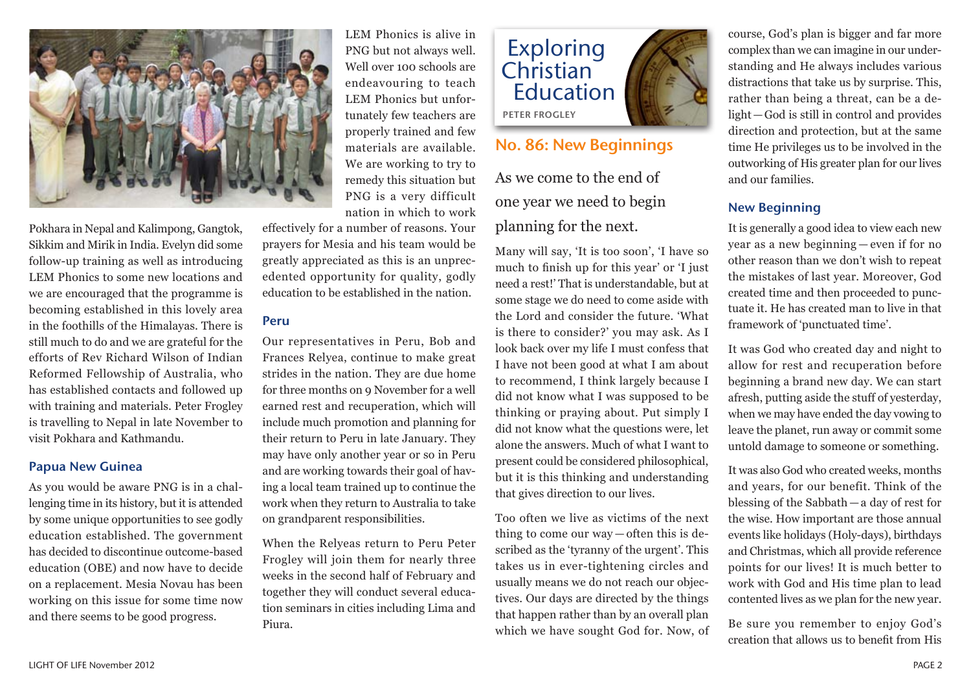

Pokhara in Nepal and Kalimpong, Gangtok, Sikkim and Mirik in India. Evelyn did some follow-up training as well as introducing LEM Phonics to some new locations and we are encouraged that the programme is becoming established in this lovely area in the foothills of the Himalayas. There is still much to do and we are grateful for the efforts of Rev Richard Wilson of Indian Reformed Fellowship of Australia, who has established contacts and followed up with training and materials. Peter Frogley is travelling to Nepal in late November to visit Pokhara and Kathmandu.

#### Papua New Guinea

As you would be aware PNG is in a challenging time in its history, but it is attended by some unique opportunities to see godly education established. The government has decided to discontinue outcome-based education (OBE) and now have to decide on a replacement. Mesia Novau has been working on this issue for some time now and there seems to be good progress.

LEM Phonics is alive in PNG but not always well. Well over 100 schools are endeavouring to teach LEM Phonics but unfortunately few teachers are properly trained and few materials are available. We are working to try to remedy this situation but PNG is a very difficult nation in which to work

effectively for a number of reasons. Your prayers for Mesia and his team would be greatly appreciated as this is an unprecedented opportunity for quality, godly education to be established in the nation.

#### Peru

Our representatives in Peru, Bob and Frances Relyea, continue to make great strides in the nation. They are due home for three months on 9 November for a well earned rest and recuperation, which will include much promotion and planning for their return to Peru in late January. They may have only another year or so in Peru and are working towards their goal of having a local team trained up to continue the work when they return to Australia to take on grandparent responsibilities.

When the Relyeas return to Peru Peter Frogley will join them for nearly three weeks in the second half of February and together they will conduct several education seminars in cities including Lima and Piura.



## No. 86: New Beginnings

As we come to the end of one year we need to begin planning for the next.

Many will say, 'It is too soon', 'I have so much to finish up for this year' or 'I just need a rest!' That is understandable, but at some stage we do need to come aside with the Lord and consider the future. 'What is there to consider?' you may ask. As I look back over my life I must confess that I have not been good at what I am about to recommend, I think largely because I did not know what I was supposed to be thinking or praying about. Put simply I did not know what the questions were, let alone the answers. Much of what I want to present could be considered philosophical, but it is this thinking and understanding that gives direction to our lives.

Too often we live as victims of the next thing to come our way — often this is described as the 'tyranny of the urgent'. This takes us in ever-tightening circles and usually means we do not reach our objectives. Our days are directed by the things that happen rather than by an overall plan which we have sought God for. Now, of course, God's plan is bigger and far more complex than we can imagine in our understanding and He always includes various distractions that take us by surprise. This, rather than being a threat, can be a delight—God is still in control and provides direction and protection, but at the same time He privileges us to be involved in the outworking of His greater plan for our lives and our families.

#### New Beginning

It is generally a good idea to view each new year as a new beginning — even if for no other reason than we don't wish to repeat the mistakes of last year. Moreover, God created time and then proceeded to punctuate it. He has created man to live in that framework of 'punctuated time'.

It was God who created day and night to allow for rest and recuperation before beginning a brand new day. We can start afresh, putting aside the stuff of yesterday, when we may have ended the day vowing to leave the planet, run away or commit some untold damage to someone or something.

It was also God who created weeks, months and years, for our benefit. Think of the blessing of the Sabbath—a day of rest for the wise. How important are those annual events like holidays (Holy-days), birthdays and Christmas, which all provide reference points for our lives! It is much better to work with God and His time plan to lead contented lives as we plan for the new year.

Be sure you remember to enjoy God's creation that allows us to benefit from His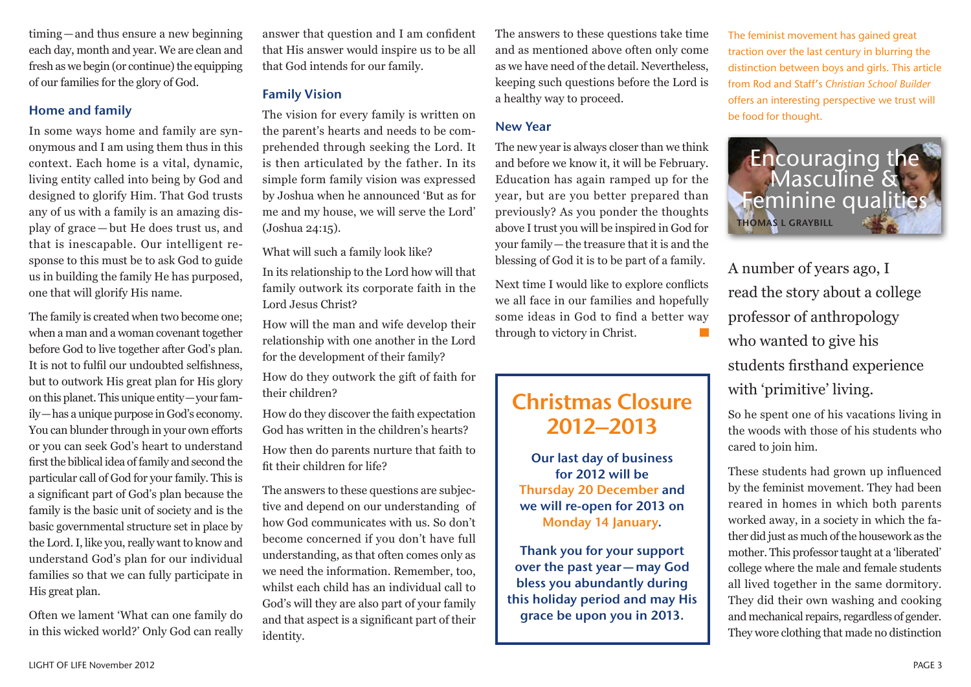timing—and thus ensure a new beginning each day, month and year. We are clean and fresh as we begin (or continue) the equipping of our families for the glory of God.

#### Home and family

In some ways home and family are synonymous and I am using them thus in this context. Each home is a vital, dynamic, living entity called into being by God and designed to glorify Him. That God trusts any of us with a family is an amazing display of grace — but He does trust us, and that is inescapable. Our intelligent response to this must be to ask God to guide us in building the family He has purposed, one that will glorify His name.

The family is created when two become one; when a man and a woman covenant together before God to live together after God's plan. It is not to fulfil our undoubted selfishness, but to outwork His great plan for His glory on this planet. This unique entity—your family—has a unique purpose in God's economy. You can blunder through in your own efforts or you can seek God's heart to understand first the biblical idea of family and second the particular call of God for your family. This is a significant part of God's plan because the family is the basic unit of society and is the basic governmental structure set in place by the Lord. I, like you, really want to know and understand God's plan for our individual families so that we can fully participate in His great plan.

Often we lament 'What can one family do in this wicked world?' Only God can really

answer that question and I am confident that His answer would inspire us to be all that God intends for our family.

#### Family Vision

The vision for every family is written on the parent's hearts and needs to be comprehended through seeking the Lord. It is then articulated by the father. In its simple form family vision was expressed by Joshua when he announced 'But as for me and my house, we will serve the Lord' (Joshua 24:15).

What will such a family look like?

In its relationship to the Lord how will that family outwork its corporate faith in the Lord Jesus Christ?

How will the man and wife develop their relationship with one another in the Lord for the development of their family?

How do they outwork the gift of faith for their children?

How do they discover the faith expectation God has written in the children's hearts?

How then do parents nurture that faith to fit their children for life?

The answers to these questions are subjective and depend on our understanding of how God communicates with us. So don't become concerned if you don't have full understanding, as that often comes only as we need the information. Remember, too, whilst each child has an individual call to God's will they are also part of your family and that aspect is a significant part of their identity.

The answers to these questions take time and as mentioned above often only come as we have need of the detail. Nevertheless, keeping such questions before the Lord is a healthy way to proceed.

#### New Year

The new year is always closer than we think and before we know it, it will be February. Education has again ramped up for the year, but are you better prepared than previously? As you ponder the thoughts above I trust you will be inspired in God for your family—the treasure that it is and the blessing of God it is to be part of a family.

Next time I would like to explore conflicts we all face in our families and hopefully some ideas in God to find a better way through to victory in Christ.

## Christmas Closure 2012–2013

Our last day of business for 2012 will be Thursday 20 December and we will re-open for 2013 on Monday 14 January.

Thank you for your support over the past year—may God bless you abundantly during this holiday period and may His grace be upon you in 2013.

The feminist movement has gained great traction over the last century in blurring the distinction between boys and girls. This article from Rod and Staff's *Christian School Builder* offers an interesting perspective we trust will be food for thought.



A number of years ago, I read the story about a college professor of anthropology who wanted to give his students firsthand experience with 'primitive' living.

So he spent one of his vacations living in the woods with those of his students who cared to join him.

These students had grown up influenced by the feminist movement. They had been reared in homes in which both parents worked away, in a society in which the father did just as much of the housework as the mother. This professor taught at a 'liberated' college where the male and female students all lived together in the same dormitory. They did their own washing and cooking and mechanical repairs, regardless of gender. They wore clothing that made no distinction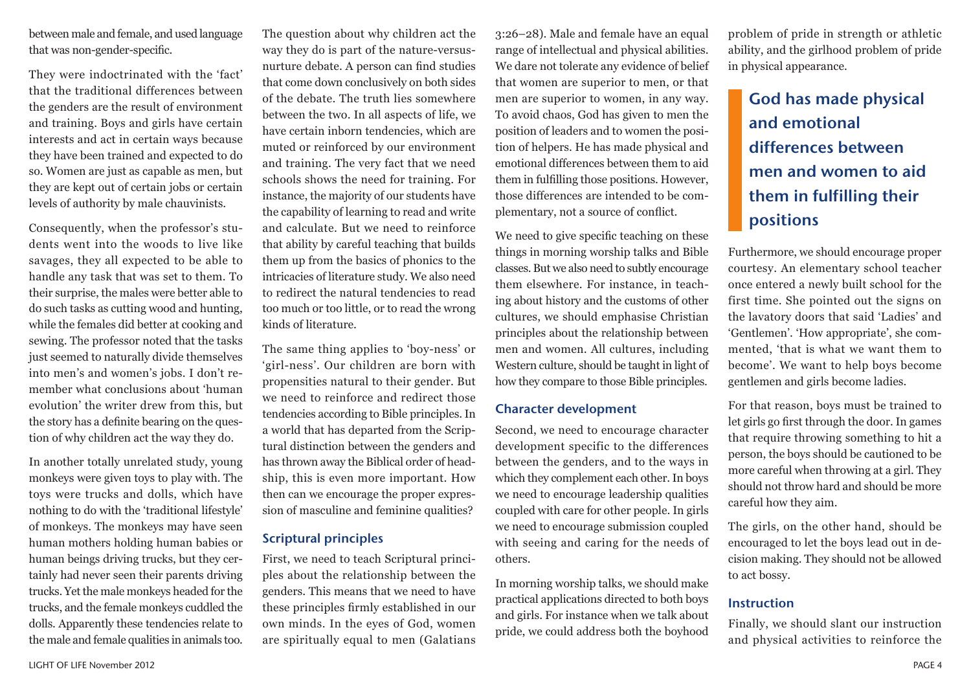between male and female, and used language that was non-gender-specific.

They were indoctrinated with the 'fact' that the traditional differences between the genders are the result of environment and training. Boys and girls have certain interests and act in certain ways because they have been trained and expected to do so. Women are just as capable as men, but they are kept out of certain jobs or certain levels of authority by male chauvinists.

Consequently, when the professor's students went into the woods to live like savages, they all expected to be able to handle any task that was set to them. To their surprise, the males were better able to do such tasks as cutting wood and hunting, while the females did better at cooking and sewing. The professor noted that the tasks just seemed to naturally divide themselves into men's and women's jobs. I don't remember what conclusions about 'human evolution' the writer drew from this, but the story has a definite bearing on the question of why children act the way they do.

In another totally unrelated study, young monkeys were given toys to play with. The toys were trucks and dolls, which have nothing to do with the 'traditional lifestyle' of monkeys. The monkeys may have seen human mothers holding human babies or human beings driving trucks, but they certainly had never seen their parents driving trucks. Yet the male monkeys headed for the trucks, and the female monkeys cuddled the dolls. Apparently these tendencies relate to the male and female qualities in animals too.

The question about why children act the way they do is part of the nature-versusnurture debate. A person can find studies that come down conclusively on both sides of the debate. The truth lies somewhere between the two. In all aspects of life, we have certain inborn tendencies, which are muted or reinforced by our environment and training. The very fact that we need schools shows the need for training. For instance, the majority of our students have the capability of learning to read and write and calculate. But we need to reinforce that ability by careful teaching that builds them up from the basics of phonics to the intricacies of literature study. We also need to redirect the natural tendencies to read too much or too little, or to read the wrong kinds of literature.

The same thing applies to 'boy-ness' or 'girl-ness'. Our children are born with propensities natural to their gender. But we need to reinforce and redirect those tendencies according to Bible principles. In a world that has departed from the Scriptural distinction between the genders and has thrown away the Biblical order of headship, this is even more important. How then can we encourage the proper expression of masculine and feminine qualities?

#### Scriptural principles

First, we need to teach Scriptural principles about the relationship between the genders. This means that we need to have these principles firmly established in our own minds. In the eyes of God, women are spiritually equal to men (Galatians

3:26–28). Male and female have an equal range of intellectual and physical abilities. We dare not tolerate any evidence of belief that women are superior to men, or that men are superior to women, in any way. To avoid chaos, God has given to men the position of leaders and to women the position of helpers. He has made physical and emotional differences between them to aid them in fulfilling those positions. However, those differences are intended to be complementary, not a source of conflict.

We need to give specific teaching on these things in morning worship talks and Bible classes. But we also need to subtly encourage them elsewhere. For instance, in teaching about history and the customs of other cultures, we should emphasise Christian principles about the relationship between men and women. All cultures, including Western culture, should be taught in light of how they compare to those Bible principles.

#### Character development

Second, we need to encourage character development specific to the differences between the genders, and to the ways in which they complement each other. In boys we need to encourage leadership qualities coupled with care for other people. In girls we need to encourage submission coupled with seeing and caring for the needs of others.

In morning worship talks, we should make practical applications directed to both boys and girls. For instance when we talk about pride, we could address both the boyhood

problem of pride in strength or athletic ability, and the girlhood problem of pride in physical appearance.

God has made physical and emotional differences between men and women to aid them in fulfilling their positions

Furthermore, we should encourage proper courtesy. An elementary school teacher once entered a newly built school for the first time. She pointed out the signs on the lavatory doors that said 'Ladies' and 'Gentlemen'. 'How appropriate', she commented, 'that is what we want them to become'. We want to help boys become gentlemen and girls become ladies.

For that reason, boys must be trained to let girls go first through the door. In games that require throwing something to hit a person, the boys should be cautioned to be more careful when throwing at a girl. They should not throw hard and should be more careful how they aim.

The girls, on the other hand, should be encouraged to let the boys lead out in decision making. They should not be allowed to act bossy.

#### Instruction

Finally, we should slant our instruction and physical activities to reinforce the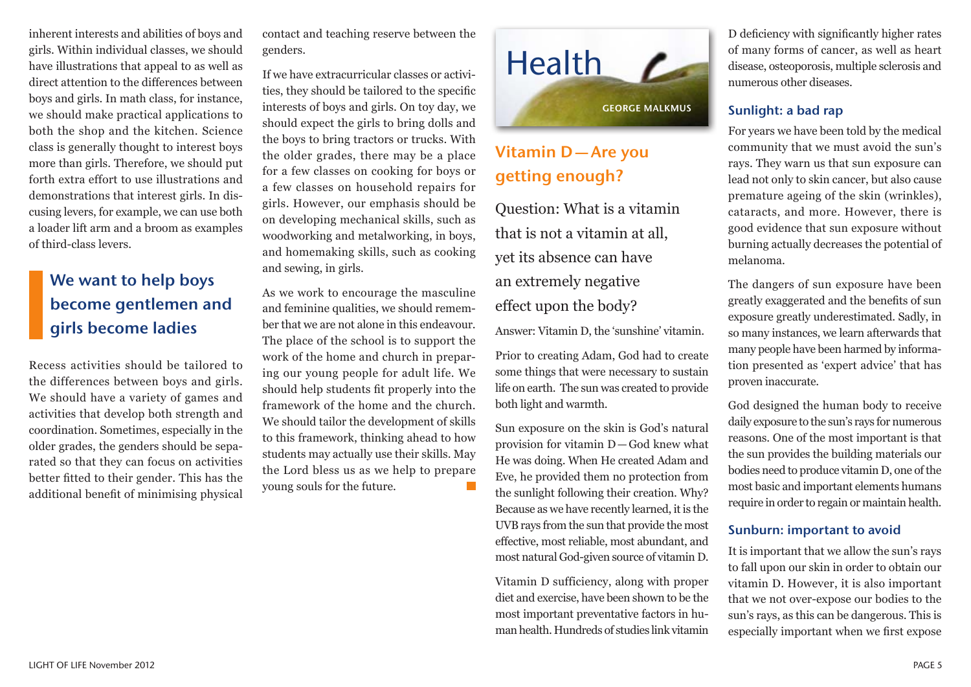inherent interests and abilities of boys and girls. Within individual classes, we should have illustrations that appeal to as well as direct attention to the differences between boys and girls. In math class, for instance, we should make practical applications to both the shop and the kitchen. Science class is generally thought to interest boys more than girls. Therefore, we should put forth extra effort to use illustrations and demonstrations that interest girls. In discusing levers, for example, we can use both a loader lift arm and a broom as examples of third-class levers.

## We want to help boys become gentlemen and girls become ladies

Recess activities should be tailored to the differences between boys and girls. We should have a variety of games and activities that develop both strength and coordination. Sometimes, especially in the older grades, the genders should be separated so that they can focus on activities better fitted to their gender. This has the additional benefit of minimising physical

contact and teaching reserve between the genders.

If we have extracurricular classes or activities, they should be tailored to the specific interests of boys and girls. On toy day, we should expect the girls to bring dolls and the boys to bring tractors or trucks. With the older grades, there may be a place for a few classes on cooking for boys or a few classes on household repairs for girls. However, our emphasis should be on developing mechanical skills, such as woodworking and metalworking, in boys, and homemaking skills, such as cooking and sewing, in girls.

As we work to encourage the masculine and feminine qualities, we should remember that we are not alone in this endeavour. The place of the school is to support the work of the home and church in preparing our young people for adult life. We should help students fit properly into the framework of the home and the church. We should tailor the development of skills to this framework, thinking ahead to how students may actually use their skills. May the Lord bless us as we help to prepare young souls for the future.



## Vitamin D— Are you getting enough?

Question: What is a vitamin that is not a vitamin at all, yet its absence can have an extremely negative effect upon the body?

Answer: Vitamin D, the 'sunshine' vitamin.

Prior to creating Adam, God had to create some things that were necessary to sustain life on earth. The sun was created to provide both light and warmth.

Sun exposure on the skin is God's natural provision for vitamin D—God knew what He was doing. When He created Adam and Eve, he provided them no protection from the sunlight following their creation. Why? Because as we have recently learned, it is the UVB rays from the sun that provide the most effective, most reliable, most abundant, and most natural God-given source of vitamin D.

Vitamin D sufficiency, along with proper diet and exercise, have been shown to be the most important preventative factors in human health. Hundreds of studies link vitamin

D deficiency with significantly higher rates of many forms of cancer, as well as heart disease, osteoporosis, multiple sclerosis and numerous other diseases.

#### Sunlight: a bad rap

For years we have been told by the medical community that we must avoid the sun's rays. They warn us that sun exposure can lead not only to skin cancer, but also cause premature ageing of the skin (wrinkles), cataracts, and more. However, there is good evidence that sun exposure without burning actually decreases the potential of melanoma.

The dangers of sun exposure have been greatly exaggerated and the benefits of sun exposure greatly underestimated. Sadly, in so many instances, we learn afterwards that many people have been harmed by information presented as 'expert advice' that has proven inaccurate.

God designed the human body to receive daily exposure to the sun's rays for numerous reasons. One of the most important is that the sun provides the building materials our bodies need to produce vitamin D, one of the most basic and important elements humans require in order to regain or maintain health.

#### Sunburn: important to avoid

It is important that we allow the sun's rays to fall upon our skin in order to obtain our vitamin D. However, it is also important that we not over-expose our bodies to the sun's rays, as this can be dangerous. This is especially important when we first expose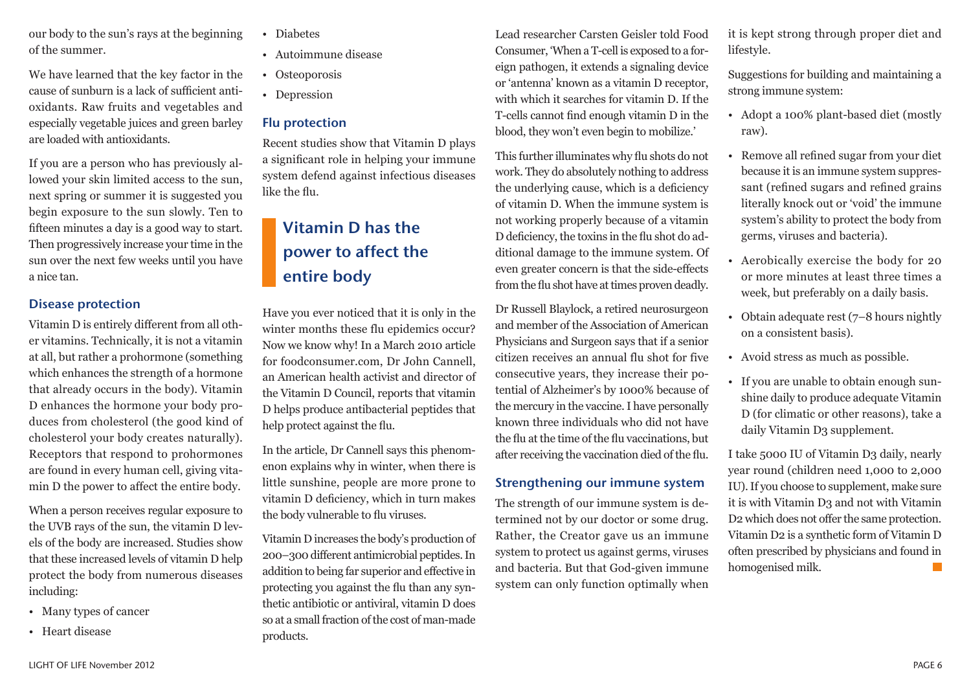our body to the sun's rays at the beginning of the summer.

We have learned that the key factor in the cause of sunburn is a lack of sufficient antioxidants. Raw fruits and vegetables and especially vegetable juices and green barley are loaded with antioxidants.

If you are a person who has previously allowed your skin limited access to the sun, next spring or summer it is suggested you begin exposure to the sun slowly. Ten to fifteen minutes a day is a good way to start. Then progressively increase your time in the sun over the next few weeks until you have a nice tan.

#### Disease protection

Vitamin D is entirely different from all other vitamins. Technically, it is not a vitamin at all, but rather a prohormone (something which enhances the strength of a hormone that already occurs in the body). Vitamin D enhances the hormone your body produces from cholesterol (the good kind of cholesterol your body creates naturally). Receptors that respond to prohormones are found in every human cell, giving vitamin D the power to affect the entire body.

When a person receives regular exposure to the UVB rays of the sun, the vitamin D levels of the body are increased. Studies show that these increased levels of vitamin D help protect the body from numerous diseases including:

- Many types of cancer
- Heart disease
- Diabetes
- Autoimmune disease
- Osteoporosis
- Depression

#### Flu protection

Recent studies show that Vitamin D plays a significant role in helping your immune system defend against infectious diseases like the flu.

## Vitamin D has the power to affect the entire body

Have you ever noticed that it is only in the winter months these flu epidemics occur? Now we know why! In a March 2010 article for foodconsumer.com, Dr John Cannell, an American health activist and director of the Vitamin D Council, reports that vitamin D helps produce antibacterial peptides that help protect against the flu.

In the article, Dr Cannell says this phenomenon explains why in winter, when there is little sunshine, people are more prone to vitamin D deficiency, which in turn makes the body vulnerable to flu viruses.

Vitamin D increases the body's production of 200–300 different antimicrobial peptides. In addition to being far superior and effective in protecting you against the flu than any synthetic antibiotic or antiviral, vitamin D does so at a small fraction of the cost of man-made products.

Lead researcher Carsten Geisler told Food Consumer, 'When a T-cell is exposed to a foreign pathogen, it extends a signaling device or 'antenna' known as a vitamin D receptor, with which it searches for vitamin D. If the T-cells cannot find enough vitamin D in the blood, they won't even begin to mobilize.'

This further illuminates why flu shots do not work. They do absolutely nothing to address the underlying cause, which is a deficiency of vitamin D. When the immune system is not working properly because of a vitamin D deficiency, the toxins in the flu shot do additional damage to the immune system. Of even greater concern is that the side-effects from the flu shot have at times proven deadly.

Dr Russell Blaylock, a retired neurosurgeon and member of the Association of American Physicians and Surgeon says that if a senior citizen receives an annual flu shot for five consecutive years, they increase their potential of Alzheimer's by 1000% because of the mercury in the vaccine. I have personally known three individuals who did not have the flu at the time of the flu vaccinations, but after receiving the vaccination died of the flu.

#### Strengthening our immune system

The strength of our immune system is determined not by our doctor or some drug. Rather, the Creator gave us an immune system to protect us against germs, viruses and bacteria. But that God-given immune system can only function optimally when

it is kept strong through proper diet and lifestyle.

Suggestions for building and maintaining a strong immune system:

- Adopt a 100% plant-based diet (mostly raw).
- Remove all refined sugar from your diet because it is an immune system suppressant (refined sugars and refined grains literally knock out or 'void' the immune system's ability to protect the body from germs, viruses and bacteria).
- Aerobically exercise the body for 20 or more minutes at least three times a week, but preferably on a daily basis.
- Obtain adequate rest (7–8 hours nightly on a consistent basis).
- Avoid stress as much as possible.
- If you are unable to obtain enough sunshine daily to produce adequate Vitamin D (for climatic or other reasons), take a daily Vitamin D3 supplement.

I take 5000 IU of Vitamin D3 daily, nearly year round (children need 1,000 to 2,000 IU). If you choose to supplement, make sure it is with Vitamin D3 and not with Vitamin D2 which does not offer the same protection. Vitamin D2 is a synthetic form of Vitamin D often prescribed by physicians and found in homogenised milk.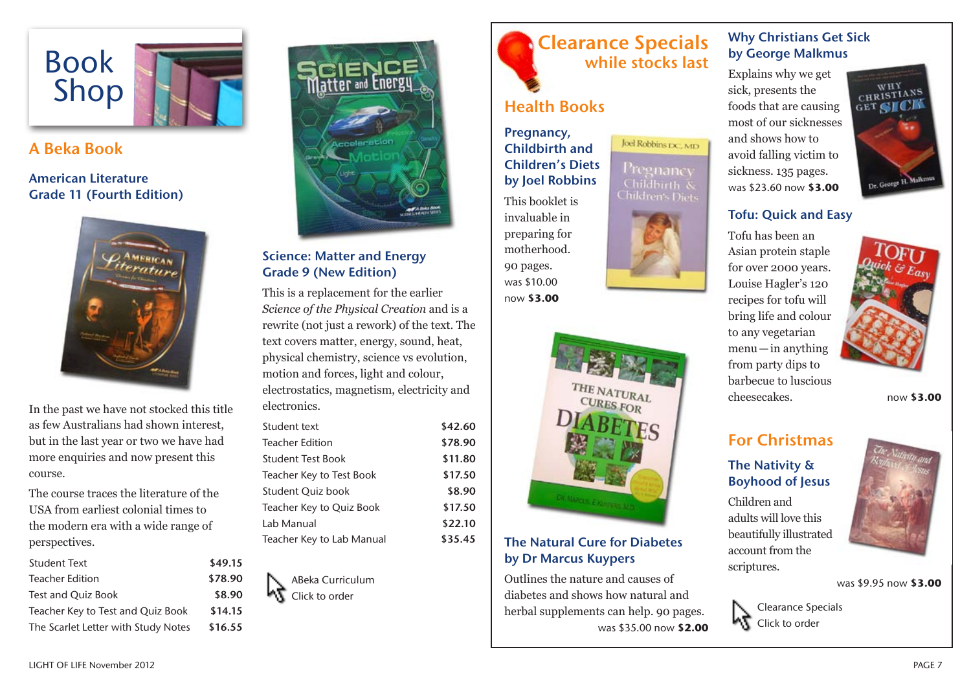

## A Beka Book

#### American Literature Grade 11 (Fourth Edition)



In the past we have not stocked this title as few Australians had shown interest, but in the last year or two we have had more enquiries and now present this course.

The course traces the literature of the USA from earliest colonial times to the modern era with a wide range of perspectives.

| <b>Student Text</b>                 | \$49.15 |
|-------------------------------------|---------|
| <b>Teacher Edition</b>              | \$78.90 |
| Test and Ouiz Book                  | \$8.90  |
| Teacher Key to Test and Quiz Book   | \$14.15 |
| The Scarlet Letter with Study Notes | \$16.55 |



#### Science: Matter and Energy Grade 9 (New Edition)

This is a replacement for the earlier *Science of the Physical Creation* and is a rewrite (not just a rework) of the text. The text covers matter, energy, sound, heat, physical chemistry, science vs evolution, motion and forces, light and colour, electrostatics, magnetism, electricity and electronics.

| Student text              | \$42.60 |
|---------------------------|---------|
| <b>Teacher Edition</b>    | \$78.90 |
| Student Test Book         | \$11.80 |
| Teacher Key to Test Book  | \$17.50 |
| <b>Student Quiz book</b>  | \$8.90  |
| Teacher Key to Quiz Book  | \$17.50 |
| Lab Manual                | \$22.10 |
| Teacher Key to Lab Manual | \$35.45 |
|                           |         |

ABeka Curriculum Click to order

## Clearance Specials while stocks last

Joel Robbins DC, MD

Pregnancy Childbirth & **Children's Diets** 

## Health Books

Pregnancy, Childbirth and Children's Diets by Joel Robbins This booklet is

invaluable in preparing for motherhood. 90 pages. was \$10.00 now **\$3.00**



#### The Natural Cure for Diabetes by Dr Marcus Kuypers

Outlines the nature and causes of diabetes and shows how natural and herbal supplements can help. 90 pages. was \$35.00 now **\$2.00**

### Why Christians Get Sick by George Malkmus

Explains why we get sick, presents the foods that are causing most of our sicknesses and shows how to avoid falling victim to sickness. 135 pages. was \$23.60 now **\$3.00**



Tofu has been an Asian protein staple for over 2000 years. Louise Hagler's 120 recipes for tofu will bring life and colour to any vegetarian menu—in anything from party dips to barbecue to luscious cheesecakes. now **\$3.00**



## For Christmas

### The Nativity & Boyhood of Jesus

Children and adults will love this beautifully illustrated account from the scriptures.

was \$9.95 now **\$3.00**



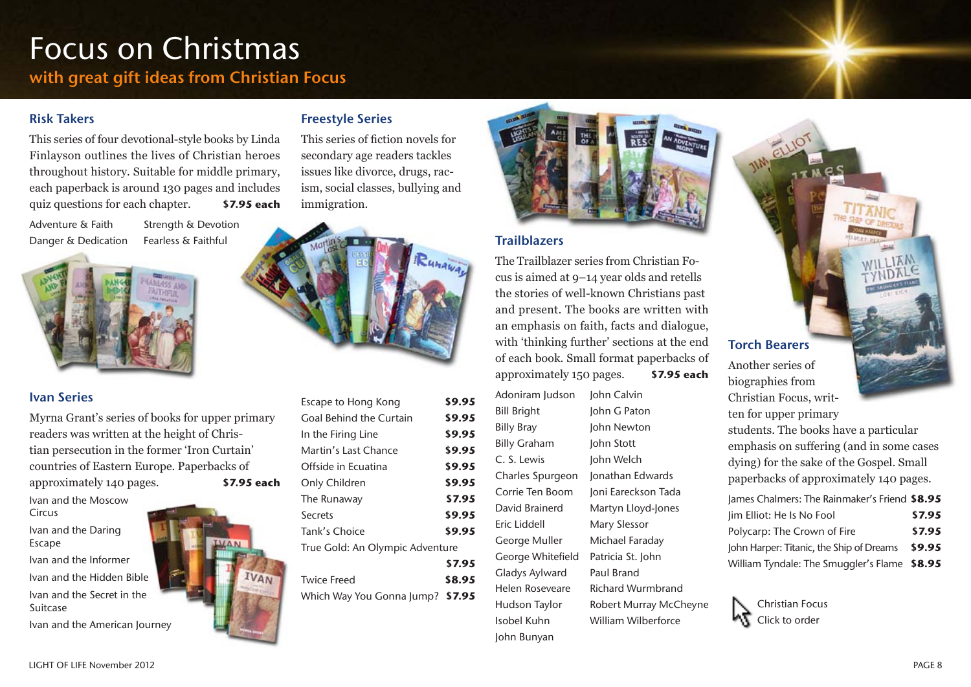# Focus on Christmas

with great gift ideas from Christian Focus

#### Risk Takers

This series of four devotional-style books by Linda Finlayson outlines the lives of Christian heroes throughout history. Suitable for middle primary, each paperback is around 130 pages and includes quiz questions for each chapter. **\$7.95 each**

Adventure & Faith Strength & Devotion Danger & Dedication Fearless & Faithful



#### Ivan Series

Myrna Grant's series of books for upper primary readers was written at the height of Christian persecution in the former 'Iron Curtain' countries of Eastern Europe. Paperbacks of approximately 140 pages. **\$7.95 each**

Ivan and the Moscow **Circus** 

Ivan and the Daring Escape

Ivan and the Informer Ivan and the Hidden Bible Ivan and the Secret in the Suitcase

Ivan and the American Journey

#### Freestyle Series

This series of fiction novels for secondary age readers tackles issues like divorce, drugs, racism, social classes, bullying and immigration.



| Escape to Hong Kong              | \$9.95 |
|----------------------------------|--------|
| Goal Behind the Curtain          | \$9.95 |
| In the Firing Line               | \$9.95 |
| Martin's Last Chance             | \$9.95 |
| Offside in Ecuatina              | \$9.95 |
| Only Children                    | \$9.95 |
| The Runaway                      | \$7.95 |
| Secrets                          | \$9.95 |
| Tank's Choice                    | \$9.95 |
| True Gold: An Olympic Adventure  |        |
|                                  | \$7.95 |
| <b>Twice Freed</b>               | \$8.95 |
| Which Way You Gonna Jump? \$7.95 |        |



#### **Trailblazers**

The Trailblazer series from Christian Focus is aimed at 9–14 year olds and retells the stories of well-known Christians past and present. The books are written with an emphasis on faith, facts and dialogue, with 'thinking further' sections at the end of each book. Small format paperbacks of approximately 150 pages. **\$7.95 each**

| Adoniram Judson     | John Calvin            |
|---------------------|------------------------|
| <b>Bill Bright</b>  | John G Paton           |
| <b>Billy Bray</b>   | John Newton            |
| <b>Billy Graham</b> | John Stott             |
| C. S. Lewis         | John Welch             |
| Charles Spurgeon    | Jonathan Edwards       |
| Corrie Ten Boom     | Joni Eareckson Tada    |
| David Brainerd      | Martyn Lloyd-Jones     |
| Eric Liddell        | Mary Slessor           |
| George Muller       | Michael Faraday        |
| George Whitefield   | Patricia St. John      |
| Gladys Aylward      | Paul Brand             |
| Helen Roseveare     | Richard Wurmbrand      |
| Hudson Taylor       | Robert Murray McCheyne |
| Isobel Kuhn         | William Wilberforce    |
| John Bunyan         |                        |

#### Torch Bearers

Another series of biographies from Christian Focus, written for upper primary students. The books have a particular emphasis on suffering (and in some cases dying) for the sake of the Gospel. Small paperbacks of approximately 140 pages. James Chalmers: The Rainmaker's Friend **\$8.95** Jim Elliot: He Is No Fool **\$7.95** Polycarp: The Crown of Fire **\$7.95** John Harper: Titanic, the Ship of Dreams **\$9.95** William Tyndale: The Smuggler's Flame **\$8.95**